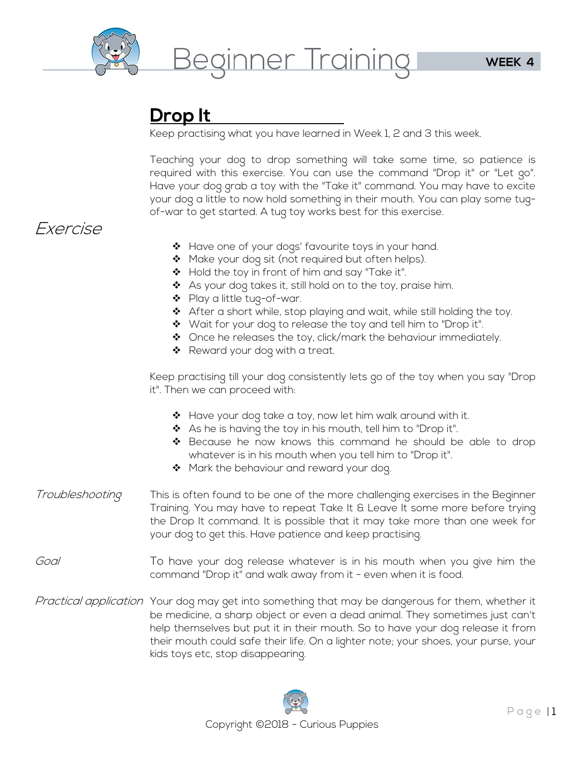

### **Drop It**

Keep practising what you have learned in Week 1, 2 and 3 this week.

Teaching your dog to drop something will take some time, so patience is required with this exercise. You can use the command "Drop it" or "Let go". Have your dog grab a toy with the "Take it" command. You may have to excite your dog a little to now hold something in their mouth. You can play some tugof-war to get started. A tug toy works best for this exercise.

### Exercise

- \* Have one of your dogs' favourite toys in your hand.
- $\clubsuit$  Make your dog sit (not required but often helps).
- ❖ Hold the toy in front of him and say "Take it".
- $\clubsuit$  As your dog takes it, still hold on to the toy, praise him.
- ◆ Play a little tug-of-war.
- ◆ After a short while, stop playing and wait, while still holding the toy.
- $\clubsuit$  Wait for your dog to release the toy and tell him to "Drop it".
- Once he releases the toy, click/mark the behaviour immediately.
- ❖ Reward your dog with a treat.

Keep practising till your dog consistently lets go of the toy when you say "Drop it". Then we can proceed with:

- ◆ Have your dog take a toy, now let him walk around with it.
- $\clubsuit$  As he is having the toy in his mouth, tell him to "Drop it".
- ◆ Because he now knows this command he should be able to drop whatever is in his mouth when you tell him to "Drop it".
- ❖ Mark the behaviour and reward your dog.
- Troubleshooting This is often found to be one of the more challenging exercises in the Beginner Training. You may have to repeat Take It & Leave It some more before trying the Drop It command. It is possible that it may take more than one week for your dog to get this. Have patience and keep practising.
- Goal To have your dog release whatever is in his mouth when you give him the command "Drop it" and walk away from it - even when it is food.
- Practical application Your dog may get into something that may be dangerous for them, whether it be medicine, a sharp object or even a dead animal. They sometimes just can't help themselves but put it in their mouth. So to have your dog release it from their mouth could safe their life. On a lighter note; your shoes, your purse, your kids toys etc, stop disappearing.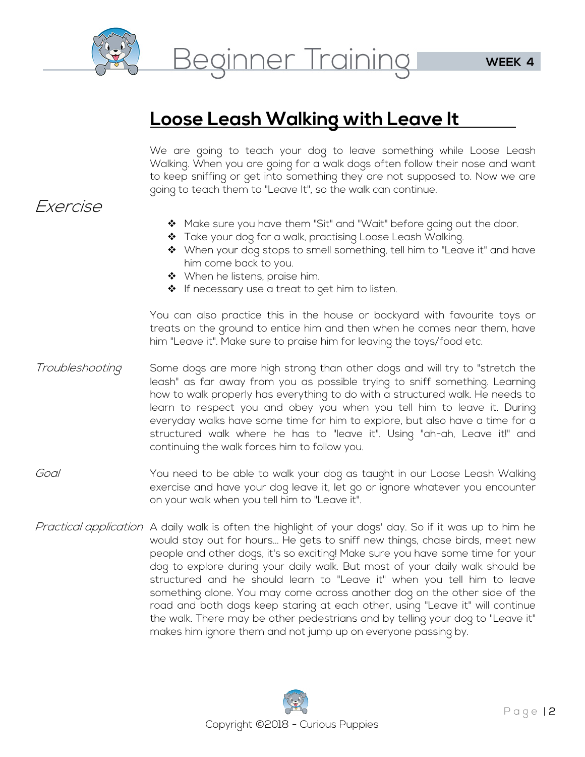

# **Loose Leash Walking with Leave It**

We are going to teach your dog to leave something while Loose Leash Walking. When you are going for a walk dogs often follow their nose and want to keep sniffing or get into something they are not supposed to. Now we are going to teach them to "Leave It", so the walk can continue.

#### Exercise

- ◆ Make sure you have them "Sit" and "Wait" before going out the door.
- Take your dog for a walk, practising Loose Leash Walking.
- $\clubsuit$  When your dog stops to smell something, tell him to "Leave it" and have him come back to you.
- $\clubsuit$  When he listens, praise him.
- $\triangleleft$  If necessary use a treat to get him to listen.

You can also practice this in the house or backyard with favourite toys or treats on the ground to entice him and then when he comes near them, have him "Leave it". Make sure to praise him for leaving the toys/food etc.

- Troubleshooting Some dogs are more high strong than other dogs and will try to "stretch the leash" as far away from you as possible trying to sniff something. Learning how to walk properly has everything to do with a structured walk. He needs to learn to respect you and obey you when you tell him to leave it. During everyday walks have some time for him to explore, but also have a time for a structured walk where he has to "leave it". Using "ah-ah, Leave it!" and continuing the walk forces him to follow you.
- Goal The You need to be able to walk your dog as taught in our Loose Leash Walking exercise and have your dog leave it, let go or ignore whatever you encounter on your walk when you tell him to "Leave it".
- Practical application A daily walk is often the highlight of your dogs' day. So if it was up to him he would stay out for hours... He gets to sniff new things, chase birds, meet new people and other dogs, it's so exciting! Make sure you have some time for your dog to explore during your daily walk. But most of your daily walk should be structured and he should learn to "Leave it" when you tell him to leave something alone. You may come across another dog on the other side of the road and both dogs keep staring at each other, using "Leave it" will continue the walk. There may be other pedestrians and by telling your dog to "Leave it" makes him ignore them and not jump up on everyone passing by.